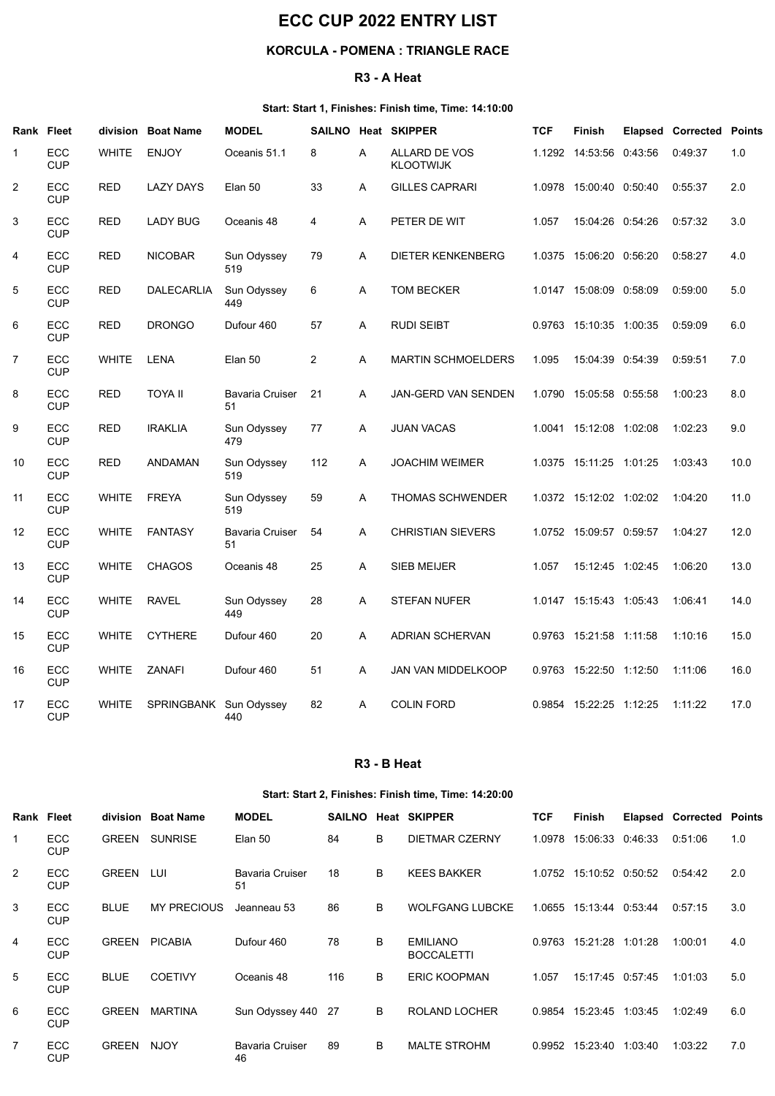# ECC CUP 2022 ENTRY LIST

## KORCULA - POMENA : TRIANGLE RACE

## R3 - A Heat

## Start: Start 1, Finishes: Finish time, Time: 14:10:00

|                      |                                                       | <b>ECC CUP 2022 ENTRY LIST</b>                            |                                  |                              |                |        |                                                            |            |                                               |                  |                                 |              |  |
|----------------------|-------------------------------------------------------|-----------------------------------------------------------|----------------------------------|------------------------------|----------------|--------|------------------------------------------------------------|------------|-----------------------------------------------|------------------|---------------------------------|--------------|--|
|                      |                                                       |                                                           |                                  |                              |                |        | <b>KORCULA - POMENA : TRIANGLE RACE</b>                    |            |                                               |                  |                                 |              |  |
|                      |                                                       |                                                           |                                  |                              |                |        | R3 - A Heat                                                |            |                                               |                  |                                 |              |  |
|                      |                                                       |                                                           |                                  |                              |                |        | Start: Start 1, Finishes: Finish time, Time: 14:10:00      |            |                                               |                  |                                 |              |  |
| Rank Fleet           |                                                       | division                                                  | <b>Boat Name</b>                 | <b>MODEL</b>                 |                |        | SAILNO Heat SKIPPER                                        | <b>TCF</b> | Finish                                        |                  | <b>Elapsed Corrected Points</b> |              |  |
| -1<br>$\overline{2}$ | ECC<br><b>CUP</b><br>ECC                              | <b>WHITE</b><br><b>RED</b>                                | <b>ENJOY</b><br><b>LAZY DAYS</b> | Oceanis 51.1<br>Elan 50      | 8<br>33        | A<br>A | ALLARD DE VOS<br><b>KLOOTWIJK</b><br><b>GILLES CAPRARI</b> | 1.1292     | 14:53:56 0:43:56<br>1.0978 15:00:40 0:50:40   |                  | 0:49:37<br>0:55:37              | 1.0<br>2.0   |  |
| 3                    | <b>CUP</b><br>ECC<br><b>CUP</b>                       | <b>RED</b>                                                | <b>LADY BUG</b>                  | Oceanis 48                   | 4              | A      | PETER DE WIT                                               | 1.057      |                                               | 15:04:26 0:54:26 | 0:57:32                         | 3.0          |  |
| 4                    | ECC<br>CUP                                            | <b>RED</b>                                                | <b>NICOBAR</b>                   | Sun Odyssey<br>519           | 79             | A      | <b>DIETER KENKENBERG</b>                                   | 1.0375     | 15:06:20                                      | 0:56:20          | 0:58:27                         | 4.0          |  |
| $5\phantom{.0}$      | ECC<br><b>CUP</b>                                     | <b>RED</b>                                                | DALECARLIA                       | Sun Odyssey<br>449           | 6              | A      | <b>TOM BECKER</b>                                          | 1.0147     | 15:08:09                                      | 0:58:09          | 0:59:00                         | 5.0          |  |
| 6                    | ECC<br><b>CUP</b>                                     | <b>RED</b>                                                | <b>DRONGO</b>                    | Dufour 460                   | 57             | A      | <b>RUDI SEIBT</b>                                          |            | 0.9763 15:10:35 1:00:35                       |                  | 0:59:09                         | 6.0          |  |
| $\overline{7}$       | ECC<br><b>CUP</b>                                     | <b>WHITE</b>                                              | LENA                             | Elan 50                      | $\overline{2}$ | A      | <b>MARTIN SCHMOELDERS</b>                                  | 1.095      | 15:04:39 0:54:39                              |                  | 0:59:51                         | 7.0          |  |
| 8                    | ECC<br><b>CUP</b>                                     | <b>RED</b>                                                | <b>TOYA II</b>                   | Bavaria Cruiser 21<br>51     |                | A      | JAN-GERD VAN SENDEN                                        |            | 1.0790 15:05:58 0:55:58                       |                  | 1:00:23                         | 8.0          |  |
| 9                    | ECC<br><b>CUP</b>                                     | RED                                                       | <b>IRAKLIA</b>                   | Sun Odyssey<br>479           | 77             | A      | <b>JUAN VACAS</b>                                          |            | 1.0041 15:12:08 1:02:08                       |                  | 1:02:23                         | 9.0          |  |
| 10                   | ECC<br><b>CUP</b>                                     | <b>RED</b>                                                | ANDAMAN                          | Sun Odyssey<br>519           | 112            | A      | <b>JOACHIM WEIMER</b>                                      |            | 1.0375  15:11:25  1:01:25                     |                  | 1:03:43                         | 10.0         |  |
| 11                   | ECC<br>CUP                                            | WHITE                                                     | <b>FREYA</b>                     | Sun Odyssey<br>519           | 59             | A      | THOMAS SCHWENDER                                           |            | 1.0372 15:12:02 1:02:02                       |                  | 1:04:20                         | 11.0         |  |
| 12                   | ECC<br>CUP                                            |                                                           | WHITE FANTASY                    | Bavaria Cruiser 54<br>51     |                | A      | CHRISTIAN SIEVERS                                          |            | 1.0752 15:09:57 0:59:57                       |                  | 1:04:27                         | 12.0         |  |
| 13<br>14             | ECC<br><b>CUP</b><br>ECC                              | WHITE RAVEL                                               | WHITE CHAGOS                     | Oceanis 48<br>Sun Odyssey    | 25<br>28       | A<br>A | SIEB MEIJER<br><b>STEFAN NUFER</b>                         | 1.057      | 15:12:45 1:02:45<br>1.0147  15:15:43  1:05:43 |                  | 1:06:20<br>1:06:41              | 13.0<br>14.0 |  |
| 15                   | <b>CUP</b><br>ECC                                     |                                                           | WHITE CYTHERE                    | 449<br>Dufour 460            | 20             | A      | ADRIAN SCHERVAN                                            |            | 0.9763 15:21:58 1:11:58 1:10:16               |                  |                                 | 15.0         |  |
| 16                   | <b>CUP</b><br>ECC                                     |                                                           | WHITE ZANAFI                     | Dufour 460                   | 51             | A      | JAN VAN MIDDELKOOP                                         |            | 0.9763 15:22:50 1:12:50                       |                  | 1:11:06                         | 16.0         |  |
| 17                   | <b>CUP</b><br>ECC                                     |                                                           | WHITE SPRINGBANK Sun Odyssey     |                              | 82             | A      | <b>COLIN FORD</b>                                          |            | 0.9854 15:22:25 1:12:25                       |                  | 1:11:22                         | 17.0         |  |
|                      | <b>CUP</b>                                            |                                                           |                                  | 440                          |                |        |                                                            |            |                                               |                  |                                 |              |  |
|                      |                                                       |                                                           |                                  |                              |                |        | R3 - B Heat                                                |            |                                               |                  |                                 |              |  |
|                      | Start: Start 2, Finishes: Finish time, Time: 14:20:00 |                                                           |                                  |                              |                |        |                                                            |            |                                               |                  |                                 |              |  |
| Rank Fleet           |                                                       | division Boat Name<br><b>MODEL</b><br>SAILNO Heat SKIPPER |                                  |                              |                |        |                                                            |            | Finish                                        |                  | <b>Elapsed Corrected Points</b> |              |  |
| 1                    | ECC<br>CUP                                            |                                                           | GREEN SUNRISE                    | Elan 50                      | 84             | В      | <b>DIETMAR CZERNY</b>                                      | TCF        | 1.0978 15:06:33 0:46:33 0:51:06               |                  |                                 | 1.0          |  |
| $\overline{2}$       | ECC<br><b>CUP</b>                                     | GREEN LUI                                                 |                                  | <b>Bavaria Cruiser</b><br>51 | 18             | B      | <b>KEES BAKKER</b>                                         |            | 1.0752 15:10:52 0:50:52                       |                  | 0:54:42                         | 2.0          |  |
| $\mathbf{3}$         | ECC<br><b>CUP</b>                                     | <b>BLUE</b>                                               | MY PRECIOUS                      | Jeanneau 53                  | 86             | B      | WOLFGANG LUBCKE                                            |            | 1.0655 15:13:44 0:53:44                       |                  | 0:57:15                         | 3.0          |  |
| 4                    | ECC<br>CUP                                            |                                                           | GREEN PICABIA                    | Dufour 460                   | 78             | B      | <b>EMILIANO</b><br>BOCCAL ETTI                             |            | 0.9763 15:21:28 1:01:28 1:00:01               |                  |                                 | 4.0          |  |

#### R3 - B Heat

## Start: Start 2, Finishes: Finish time, Time: 14:20:00

| 13.            | ヒしし<br><b>CUP</b>                                     | <b>VVHILLE</b> | <b>UHAUUS</b>          | Oceanis 48<br>∠ວ             | $\mathsf{A}$ |                         | <b>SIEB MEIJER</b>                   | 1.057      | $15.12.45$ $1.02.45$      |                         | 1.00.ZU                         | 13.U |  |
|----------------|-------------------------------------------------------|----------------|------------------------|------------------------------|--------------|-------------------------|--------------------------------------|------------|---------------------------|-------------------------|---------------------------------|------|--|
| 14             | ECC<br><b>CUP</b>                                     | <b>WHITE</b>   | <b>RAVEL</b>           | Sun Odyssey<br>449           | 28<br>A      |                         | STEFAN NUFER                         |            | 1.0147  15:15:43  1:05:43 |                         | 1:06:41                         | 14.0 |  |
| 15             | ECC<br><b>CUP</b>                                     | WHITE          | <b>CYTHERE</b>         | Dufour 460                   | 20<br>A      |                         | ADRIAN SCHERVAN                      |            | 0.9763 15:21:58 1:11:58   |                         | 1:10:16                         | 15.0 |  |
| 16             | ECC<br><b>CUP</b>                                     | WHITE          | ZANAFI                 | Dufour 460                   | 51<br>A      |                         | JAN VAN MIDDELKOOP                   |            | 0.9763 15:22:50 1:12:50   |                         | 1:11:06                         | 16.0 |  |
| 17             | ECC<br><b>CUP</b>                                     | WHITE          | SPRINGBANK Sun Odyssey | 440                          | 82<br>A      |                         | <b>COLIN FORD</b>                    |            | 0.9854 15:22:25 1:12:25   |                         | 1:11:22                         | 17.0 |  |
|                |                                                       |                |                        |                              |              | R <sub>3</sub> - B Heat |                                      |            |                           |                         |                                 |      |  |
|                | Start: Start 2, Finishes: Finish time, Time: 14:20:00 |                |                        |                              |              |                         |                                      |            |                           |                         |                                 |      |  |
| Rank Fleet     |                                                       |                | division Boat Name     | <b>MODEL</b>                 |              |                         | SAILNO Heat SKIPPER                  | <b>TCF</b> | <b>Finish</b>             |                         | <b>Elapsed Corrected Points</b> |      |  |
| -1             | ECC<br><b>CUP</b>                                     |                | GREEN SUNRISE          | Elan 50                      | 84           | B                       | <b>DIETMAR CZERNY</b>                |            | 1.0978 15:06:33 0:46:33   |                         | 0:51:06                         | 1.0  |  |
| $\overline{2}$ | ECC<br><b>CUP</b>                                     | GREEN LUI      |                        | <b>Bavaria Cruiser</b><br>51 | 18           | B                       | <b>KEES BAKKER</b>                   |            | 1.0752 15:10:52 0:50:52   |                         | 0:54:42                         | 2.0  |  |
| 3              | ECC<br><b>CUP</b>                                     | <b>BLUE</b>    | <b>MY PRECIOUS</b>     | Jeanneau 53                  | 86           | B                       | <b>WOLFGANG LUBCKE</b>               |            |                           | 1.0655 15:13:44 0:53:44 | 0:57:15                         | 3.0  |  |
| 4              | ECC<br><b>CUP</b>                                     |                | GREEN PICABIA          | Dufour 460                   | 78           | B                       | <b>EMILIANO</b><br><b>BOCCALETTI</b> |            | 0.9763 15:21:28 1:01:28   |                         | 1:00:01                         | 4.0  |  |
| 5              | ECC<br><b>CUP</b>                                     | <b>BLUE</b>    | COETIVY                | Oceanis 48                   | 116          | B                       | ERIC KOOPMAN                         | 1.057      | 15:17:45 0:57:45          |                         | 1:01:03                         | 5.0  |  |
| 6              | ECC<br><b>CUP</b>                                     |                | GREEN MARTINA          | Sun Odyssey 440 27           |              | B                       | ROLAND LOCHER                        |            | 0.9854 15:23:45 1:03:45   |                         | 1:02:49                         | 6.0  |  |
| $\overline{7}$ | ECC<br><b>CUP</b>                                     | GREEN NJOY     |                        | <b>Bavaria Cruiser</b><br>46 | 89           | B                       | <b>MALTE STROHM</b>                  |            | 0.9952 15:23:40 1:03:40   |                         | 1:03:22                         | 7.0  |  |
|                |                                                       |                |                        |                              |              |                         |                                      |            |                           |                         |                                 |      |  |
|                |                                                       |                |                        |                              |              |                         |                                      |            |                           |                         |                                 |      |  |